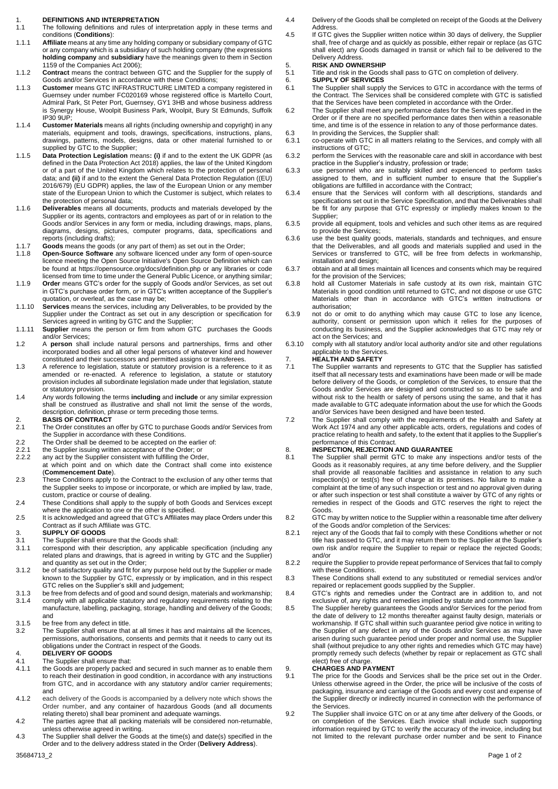- 1. **DEFINITIONS AND INTERPRETATION** The following definitions and rules of interpretation apply in these terms and conditions (**Conditions**):
- 1.1.1 **Affiliate** means at any time any holding company or subsidiary company of GTC or any company which is a subsidiary of such holding company (the expressions **holding company** and **subsidiary** have the meanings given to them in Section 1159 of the Companies Act 2006);
- 1.1.2 **Contract** means the contract between GTC and the Supplier for the supply of Goods and/or Services in accordance with these Conditions;
- 1.1.3 **Customer** means GTC INFRASTRUCTURE LIMITED a company registered in Guernsey under number FC020169 whose registered office is Martello Court, Admiral Park, St Peter Port, Guernsey, GY1 3HB and whose business address is Synergy House, Woolpit Business Park, Woolpit, Bury St Edmunds, Suffolk IP30 9UP;
- 1.1.4 **Customer Materials** means all rights (including ownership and copyright) in any materials, equipment and tools, drawings, specifications, instructions, plans, drawings, patterns, models, designs, data or other material furnished to or supplied by GTC to the Supplier:
- 1.1.5 **Data Protection Legislation** means**: (i)** if and to the extent the UK GDPR (as defined in the Data Protection Act 2018) applies, the law of the United Kingdom or of a part of the United Kingdom which relates to the protection of personal data; and **(ii)** if and to the extent the General Data Protection Regulation ((EU) 2016/679) (EU GDPR) applies, the law of the European Union or any member state of the European Union to which the Customer is subject, which relates to the protection of personal data;
- 1.1.6 **Deliverables** means all documents, products and materials developed by the Supplier or its agents, contractors and employees as part of or in relation to the Goods and/or Services in any form or media, including drawings, maps, plans, diagrams, designs, pictures, computer programs, data, specifications and reports (including drafts);
- 1.1.7 **Goods** means the goods (or any part of them) as set out in the Order;
- 1.1.8 **Open-Source Software** any software licenced under any form of open-source licence meeting the Open Source Initiative's Open Source Definition which can be found at<https://opensource.org/docs/definition.php> or any libraries or code licensed from time to time under the General Public Licence, or anything similar;
- 1.1.9 **Order** means GTC's order for the supply of Goods and/or Services, as set out in GTC's purchase order form, or in GTC's written acceptance of the Supplier's quotation, or overleaf, as the case may be;
- 1.1.10 **Services** means the services, including any Deliverables, to be provided by the Supplier under the Contract as set out in any description or specification for Services agreed in writing by GTC and the Supplier;
- 1.1.11 **Supplier** means the person or firm from whom GTC purchases the Goods and/or Services;
- 1.2 A **person** shall include natural persons and partnerships, firms and other incorporated bodies and all other legal persons of whatever kind and however constituted and their successors and permitted assigns or transferees.
- 1.3 A reference to legislation, statute or statutory provision is a reference to it as amended or re-enacted. A reference to legislation, a statute or statutory provision includes all subordinate legislation made under that legislation, statute or statutory provision.
- 1.4 Any words following the terms **including** and **include** or any similar expression shall be construed as illustrative and shall not limit the sense of the words, description, definition, phrase or term preceding those terms.
- 2. **BASIS OF CONTRACT** The Order constitutes an offer by GTC to purchase Goods and/or Services from the Supplier in accordance with these Conditions.
- 
- 2.2 The Order shall be deemed to be accepted on the earlier of:<br>2.2.1 the Supplier issuing written acceptance of the Order: or
- 2.2.1 the Supplier issuing written acceptance of the Order; or<br>2.2.2 any act by the Supplier consistent with fulfilling the Orde any act by the Supplier consistent with fulfilling the Order,
- at which point and on which date the Contract shall come into existence (**Commencement Date**).
- 2.3 These Conditions apply to the Contract to the exclusion of any other terms that the Supplier seeks to impose or incorporate, or which are implied by law, trade, custom, practice or course of dealing.
- 2.4 These Conditions shall apply to the supply of both Goods and Services except where the application to one or the other is specified.
- 2.5 It is acknowledged and agreed that GTC's Affiliates may place Orders under this Contract as if such Affiliate was GTC.
- 3. **SUPPLY OF GOODS**
- 3.1 The Supplier shall ensure that the Goods shall:
- correspond with their description, any applicable specification (including any related plans and drawings, that is agreed in writing by GTC and the Supplier) and quantity as set out in the Order;
- 3.1.2 be of satisfactory quality and fit for any purpose held out by the Supplier or made known to the Supplier by GTC, expressly or by implication, and in this respect GTC relies on the Supplier's skill and judgement;
- 3.1.3 be free from defects and of good and sound design, materials and workmanship; 3.1.4 comply with all applicable statutory and regulatory requirements relating to the manufacture, labelling, packaging, storage, handling and delivery of the Goods;
- and
- 3.1.5 be free from any defect in title.<br>3.2 The Supplier shall ensure that The Supplier shall ensure that at all times it has and maintains all the licences, permissions, authorisations, consents and permits that it needs to carry out its obligations under the Contract in respect of the Goods.
- 4. **DELIVERY OF GOODS** 4.1 The Supplier shall ensure that:
- 4.1.1 the Goods are properly packed and secured in such manner as to enable them to reach their destination in good condition, in accordance with any instructions from GTC, and in accordance with any statutory and/or carrier requirements; and
- 4.1.2 each delivery of the Goods is accompanied by a delivery note which shows the Order number, and any container of hazardous Goods (and all documents relating thereto) shall bear prominent and adequate warnings.
- 4.2 The parties agree that all packing materials will be considered non-returnable, unless otherwise agreed in writing.
- 4.3 The Supplier shall deliver the Goods at the time(s) and date(s) specified in the Order and to the delivery address stated in the Order (**Delivery Address**).
- 4.4 Delivery of the Goods shall be completed on receipt of the Goods at the Delivery Address.
- 4.5 If GTC gives the Supplier written notice within 30 days of delivery, the Supplier shall, free of charge and as quickly as possible, either repair or replace (as GTC shall elect) any Goods damaged in transit or which fail to be delivered to the Delivery Address.
- 5. **RISK AND OWNERSHIP**
- 5.1 Title and risk in the Goods shall pass to GTC on completion of delivery.
- 6. **SUPPLY OF SERVICES**
- 6.1 The Supplier shall supply the Services to GTC in accordance with the terms of the Contract. The Services shall be considered complete with GTC is satisfied that the Services have been completed in accordance with the Order.
- 6.2 The Supplier shall meet any performance dates for the Services specified in the Order or if there are no specified performance dates then within a reasonable time, and time is of the essence in relation to any of those performance dates.
- 6.3 In providing the Services, the Supplier shall:
- 6.3.1 co-operate with GTC in all matters relating to the Services, and comply with all instructions of GTC; 6.3.2 perform the Services with the reasonable care and skill in accordance with best
- practice in the Supplier's industry, profession or trade;
- 6.3.3 use personnel who are suitably skilled and experienced to perform tasks assigned to them, and in sufficient number to ensure that the Supplier's obligations are fulfilled in accordance with the Contract;
- 6.3.4 ensure that the Services will conform with all descriptions, standards and specifications set out in the Service Specification, and that the Deliverables shall be fit for any purpose that GTC expressly or impliedly makes known to the Supplier;
- 6.3.5 provide all equipment, tools and vehicles and such other items as are required to provide the Services;
- 6.3.6 use the best quality goods, materials, standards and techniques, and ensure that the Deliverables, and all goods and materials supplied and used in the Services or transferred to GTC, will be free from defects in workmanship, installation and design;
- 6.3.7 obtain and at all times maintain all licences and consents which may be required for the provision of the Services;
- 6.3.8 hold all Customer Materials in safe custody at its own risk, maintain GTC Materials in good condition until returned to GTC, and not dispose or use GTC Materials other than in accordance with GTC's written instructions or authorisation;
- 6.3.9 not do or omit to do anything which may cause GTC to lose any licence, authority, consent or permission upon which it relies for the purposes of conducting its business, and the Supplier acknowledges that GTC may rely or act on the Services; and
- 6.3.10 comply with all statutory and/or local authority and/or site and other regulations applicable to the Services.

## 7. **HEALTH AND SAFETY**

- The Supplier warrants and represents to GTC that the Supplier has satisfied itself that all necessary tests and examinations have been made or will be made before delivery of the Goods, or completion of the Services, to ensure that the Goods and/or Services are designed and constructed so as to be safe and without risk to the health or safety of persons using the same, and that it has made available to GTC adequate information about the use for which the Goods and/or Services have been designed and have been tested.
- 7.2 The Supplier shall comply with the requirements of the Health and Safety at Work Act 1974 and any other applicable acts, orders, regulations and codes of practice relating to health and safety, to the extent that it applies to the Supplier's performance of this Contract.

# 8. **INSPECTION, REJECTION AND GUARANTEE**<br>8.1 The Supplier shall permit GTC to make any in

- The Supplier shall permit GTC to make any inspections and/or tests of the Goods as it reasonably requires, at any time before delivery, and the Supplier shall provide all reasonable facilities and assistance in relation to any such inspection(s) or test(s) free of charge at its premises. No failure to make a complaint at the time of any such inspection or test and no approval given during or after such inspection or test shall constitute a waiver by GTC of any rights or remedies in respect of the Goods and GTC reserves the right to reject the Goods.
- 8.2 GTC may by written notice to the Supplier within a reasonable time after delivery of the Goods and/or completion of the Services:
- 8.2.1 reject any of the Goods that fail to comply with these Conditions whether or not title has passed to GTC, and it may return them to the Supplier at the Supplier's own risk and/or require the Supplier to repair or replace the rejected Goods; and/or
- 8.2.2 require the Supplier to provide repeat performance of Services that fail to comply with these Conditions.
- 8.3 These Conditions shall extend to any substituted or remedial services and/or repaired or replacement goods supplied by the Supplier.
- 8.4 GTC's rights and remedies under the Contract are in addition to, and not exclusive of, any rights and remedies implied by statute and common law.
- 8.5 The Supplier hereby guarantees the Goods and/or Services for the period from the date of delivery to 12 months thereafter against faulty design, materials or workmanship. If GTC shall within such guarantee period give notice in writing to the Supplier of any defect in any of the Goods and/or Services as may have arisen during such guarantee period under proper and normal use, the Supplier shall (without prejudice to any other rights and remedies which GTC may have) promptly remedy such defects (whether by repair or replacement as GTC shall elect) free of charge.

## 9. **CHARGES AND PAYMENT**

- 9.1 The price for the Goods and Services shall be the price set out in the Order. Unless otherwise agreed in the Order, the price will be inclusive of the costs of packaging, insurance and carriage of the Goods and every cost and expense of the Supplier directly or indirectly incurred in connection with the performance of the Services.
- 9.2 The Supplier shall invoice GTC on or at any time after delivery of the Goods, or on completion of the Services. Each invoice shall include such supporting information required by GTC to verify the accuracy of the invoice, including but not limited to the relevant purchase order number and be sent to Finance